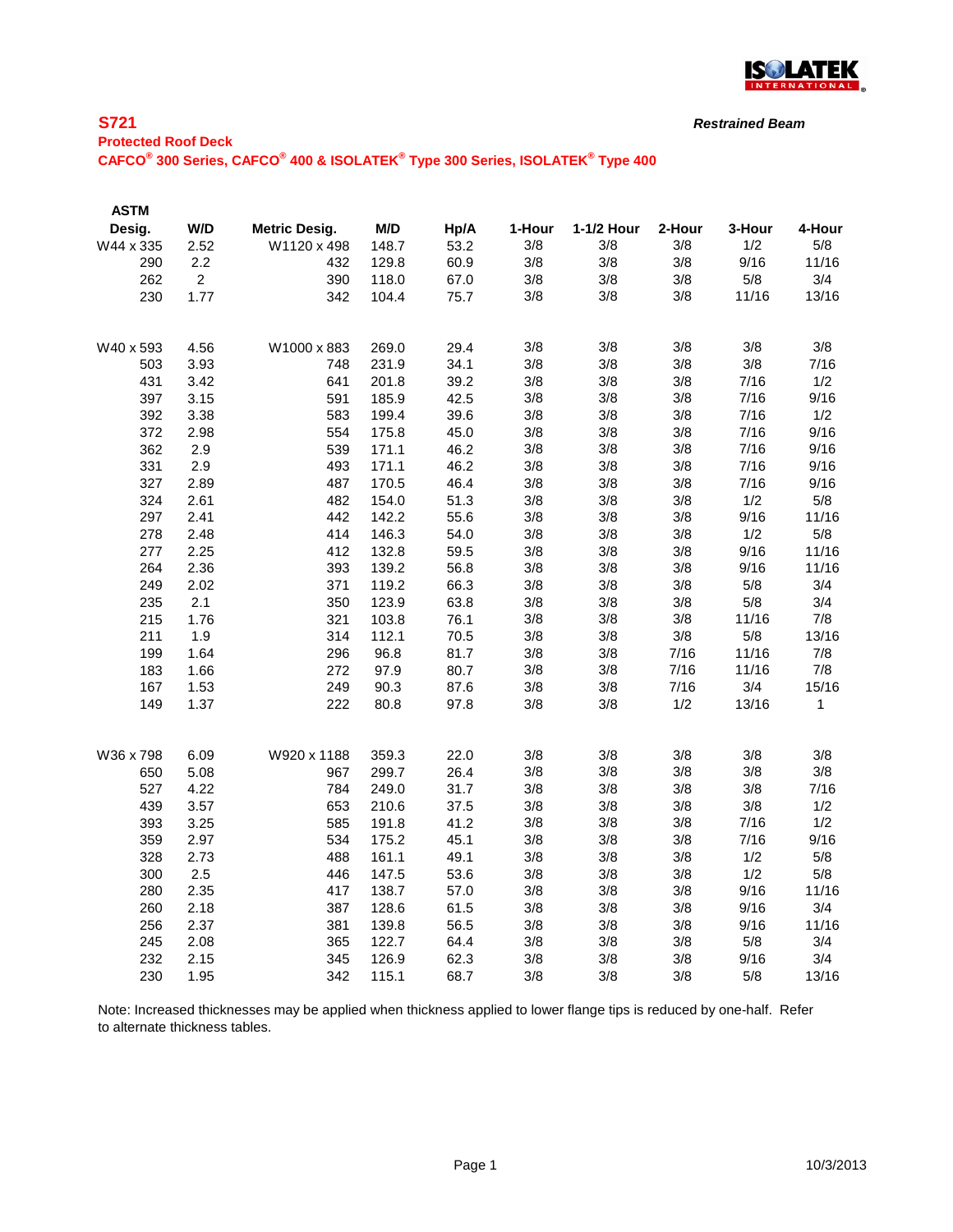

#### **S721**

| <b>Protected Roof Deck</b>                                                                                                    |  |  |
|-------------------------------------------------------------------------------------------------------------------------------|--|--|
| CAFCO <sup>®</sup> 300 Series, CAFCO <sup>®</sup> 400 & ISOLATEK <sup>®</sup> Type 300 Series, ISOLATEK <sup>®</sup> Type 400 |  |  |

| <b>ASTM</b> |                |                      |       |      |        |            |        |        |        |
|-------------|----------------|----------------------|-------|------|--------|------------|--------|--------|--------|
| Desig.      | W/D            | <b>Metric Desig.</b> | M/D   | Hp/A | 1-Hour | 1-1/2 Hour | 2-Hour | 3-Hour | 4-Hour |
| W44 x 335   | 2.52           | W1120 x 498          | 148.7 | 53.2 | 3/8    | 3/8        | 3/8    | 1/2    | 5/8    |
| 290         | 2.2            | 432                  | 129.8 | 60.9 | 3/8    | 3/8        | 3/8    | 9/16   | 11/16  |
| 262         | $\overline{2}$ | 390                  | 118.0 | 67.0 | 3/8    | 3/8        | 3/8    | 5/8    | 3/4    |
| 230         | 1.77           | 342                  | 104.4 | 75.7 | 3/8    | 3/8        | 3/8    | 11/16  | 13/16  |
|             |                |                      |       |      |        |            |        |        |        |
| W40 x 593   | 4.56           | W1000 x 883          | 269.0 | 29.4 | 3/8    | 3/8        | 3/8    | 3/8    | 3/8    |
| 503         | 3.93           | 748                  | 231.9 | 34.1 | 3/8    | 3/8        | 3/8    | 3/8    | 7/16   |
| 431         | 3.42           | 641                  | 201.8 | 39.2 | 3/8    | 3/8        | 3/8    | 7/16   | 1/2    |
| 397         | 3.15           | 591                  | 185.9 | 42.5 | 3/8    | 3/8        | 3/8    | 7/16   | 9/16   |
| 392         | 3.38           | 583                  | 199.4 | 39.6 | 3/8    | 3/8        | 3/8    | 7/16   | 1/2    |
| 372         | 2.98           | 554                  | 175.8 | 45.0 | 3/8    | 3/8        | 3/8    | 7/16   | 9/16   |
| 362         | 2.9            | 539                  | 171.1 | 46.2 | 3/8    | 3/8        | 3/8    | 7/16   | 9/16   |
| 331         | 2.9            | 493                  | 171.1 | 46.2 | 3/8    | 3/8        | 3/8    | 7/16   | 9/16   |
| 327         | 2.89           | 487                  | 170.5 | 46.4 | 3/8    | 3/8        | 3/8    | 7/16   | 9/16   |
| 324         | 2.61           | 482                  | 154.0 | 51.3 | 3/8    | 3/8        | 3/8    | 1/2    | 5/8    |
| 297         | 2.41           | 442                  | 142.2 | 55.6 | 3/8    | 3/8        | 3/8    | 9/16   | 11/16  |
| 278         | 2.48           | 414                  | 146.3 | 54.0 | 3/8    | 3/8        | 3/8    | 1/2    | 5/8    |
| 277         | 2.25           | 412                  | 132.8 | 59.5 | 3/8    | 3/8        | 3/8    | 9/16   | 11/16  |
| 264         | 2.36           | 393                  | 139.2 | 56.8 | 3/8    | 3/8        | 3/8    | 9/16   | 11/16  |
| 249         | 2.02           | 371                  | 119.2 | 66.3 | 3/8    | 3/8        | 3/8    | 5/8    | 3/4    |
| 235         | 2.1            | 350                  | 123.9 | 63.8 | 3/8    | 3/8        | 3/8    | 5/8    | 3/4    |
| 215         | 1.76           | 321                  | 103.8 | 76.1 | 3/8    | 3/8        | 3/8    | 11/16  | 7/8    |
| 211         | 1.9            | 314                  | 112.1 | 70.5 | 3/8    | 3/8        | 3/8    | 5/8    | 13/16  |
| 199         | 1.64           | 296                  | 96.8  | 81.7 | 3/8    | 3/8        | 7/16   | 11/16  | 7/8    |
| 183         | 1.66           | 272                  | 97.9  | 80.7 | 3/8    | 3/8        | 7/16   | 11/16  | 7/8    |
| 167         | 1.53           | 249                  | 90.3  | 87.6 | 3/8    | 3/8        | 7/16   | 3/4    | 15/16  |
| 149         | 1.37           | 222                  | 80.8  | 97.8 | 3/8    | 3/8        | 1/2    | 13/16  | 1      |
|             |                |                      |       |      |        |            |        |        |        |
| W36 x 798   | 6.09           | W920 x 1188          | 359.3 | 22.0 | 3/8    | 3/8        | 3/8    | 3/8    | 3/8    |
| 650         | 5.08           | 967                  | 299.7 | 26.4 | 3/8    | 3/8        | 3/8    | 3/8    | 3/8    |
| 527         | 4.22           | 784                  | 249.0 | 31.7 | 3/8    | 3/8        | 3/8    | 3/8    | 7/16   |
| 439         | 3.57           | 653                  | 210.6 | 37.5 | 3/8    | 3/8        | 3/8    | 3/8    | 1/2    |
| 393         | 3.25           | 585                  | 191.8 | 41.2 | 3/8    | 3/8        | 3/8    | 7/16   | 1/2    |
| 359         | 2.97           | 534                  | 175.2 | 45.1 | 3/8    | 3/8        | 3/8    | 7/16   | 9/16   |
| 328         | 2.73           | 488                  | 161.1 | 49.1 | 3/8    | 3/8        | 3/8    | 1/2    | 5/8    |
| 300         | 2.5            | 446                  | 147.5 | 53.6 | 3/8    | 3/8        | 3/8    | 1/2    | 5/8    |
| 280         | 2.35           | 417                  | 138.7 | 57.0 | 3/8    | 3/8        | 3/8    | 9/16   | 11/16  |
| 260         | 2.18           | 387                  | 128.6 | 61.5 | 3/8    | 3/8        | 3/8    | 9/16   | 3/4    |
| 256         | 2.37           | 381                  | 139.8 | 56.5 | 3/8    | 3/8        | 3/8    | 9/16   | 11/16  |
| 245         | 2.08           | 365                  | 122.7 | 64.4 | 3/8    | 3/8        | 3/8    | 5/8    | 3/4    |
| 232         | 2.15           | 345                  | 126.9 | 62.3 | 3/8    | 3/8        | 3/8    | 9/16   | 3/4    |
| 230         | 1.95           | 342                  | 115.1 | 68.7 | 3/8    | 3/8        | 3/8    | 5/8    | 13/16  |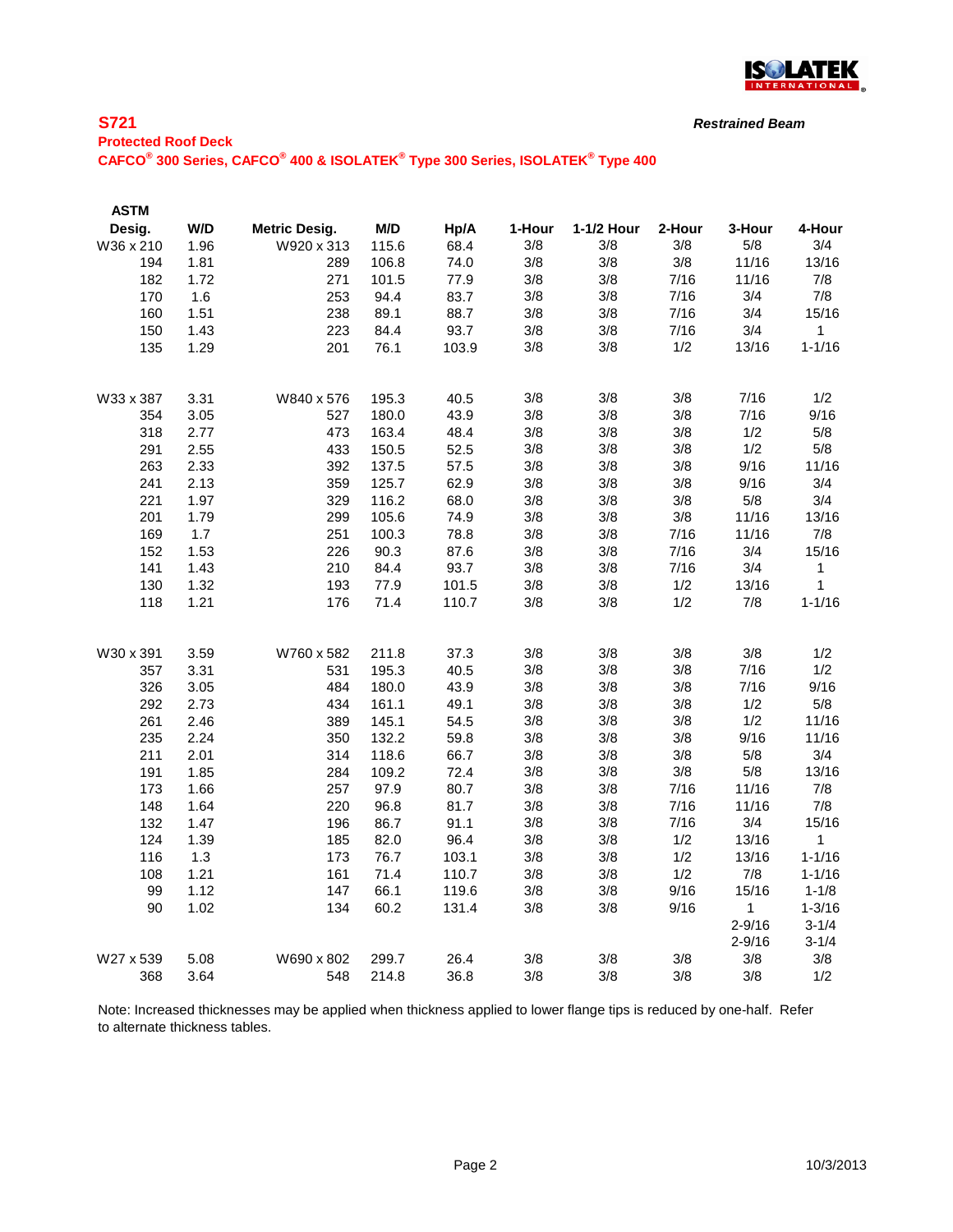

#### **S721**

*Restrained Beam*

# **Protected Roof Deck**

**CAFCO® 300 Series, CAFCO® 400 & ISOLATEK® Type 300 Series, ISOLATEK® Type 400**

| <b>ASTM</b> |      |                      |       |       |        |            |        |              |              |
|-------------|------|----------------------|-------|-------|--------|------------|--------|--------------|--------------|
| Desig.      | W/D  | <b>Metric Desig.</b> | M/D   | Hp/A  | 1-Hour | 1-1/2 Hour | 2-Hour | 3-Hour       | 4-Hour       |
| W36 x 210   | 1.96 | W920 x 313           | 115.6 | 68.4  | 3/8    | 3/8        | 3/8    | 5/8          | 3/4          |
| 194         | 1.81 | 289                  | 106.8 | 74.0  | 3/8    | 3/8        | 3/8    | 11/16        | 13/16        |
| 182         | 1.72 | 271                  | 101.5 | 77.9  | 3/8    | 3/8        | 7/16   | 11/16        | 7/8          |
| 170         | 1.6  | 253                  | 94.4  | 83.7  | 3/8    | 3/8        | 7/16   | 3/4          | 7/8          |
| 160         | 1.51 | 238                  | 89.1  | 88.7  | 3/8    | 3/8        | 7/16   | 3/4          | 15/16        |
| 150         | 1.43 | 223                  | 84.4  | 93.7  | 3/8    | 3/8        | 7/16   | 3/4          | 1            |
| 135         | 1.29 | 201                  | 76.1  | 103.9 | 3/8    | 3/8        | 1/2    | 13/16        | $1 - 1/16$   |
| W33 x 387   | 3.31 | W840 x 576           | 195.3 | 40.5  | 3/8    | 3/8        | 3/8    | 7/16         | 1/2          |
| 354         | 3.05 | 527                  | 180.0 | 43.9  | 3/8    | 3/8        | 3/8    | 7/16         | 9/16         |
| 318         | 2.77 | 473                  | 163.4 | 48.4  | 3/8    | 3/8        | 3/8    | 1/2          | 5/8          |
| 291         | 2.55 | 433                  | 150.5 | 52.5  | 3/8    | 3/8        | 3/8    | 1/2          | 5/8          |
| 263         | 2.33 | 392                  | 137.5 | 57.5  | 3/8    | 3/8        | 3/8    | 9/16         | 11/16        |
| 241         | 2.13 | 359                  | 125.7 | 62.9  | 3/8    | 3/8        | 3/8    | 9/16         | 3/4          |
| 221         | 1.97 | 329                  | 116.2 | 68.0  | 3/8    | 3/8        | 3/8    | 5/8          | 3/4          |
| 201         | 1.79 | 299                  | 105.6 | 74.9  | 3/8    | 3/8        | 3/8    | 11/16        | 13/16        |
| 169         | 1.7  | 251                  | 100.3 | 78.8  | 3/8    | 3/8        | 7/16   | 11/16        | 7/8          |
| 152         | 1.53 | 226                  | 90.3  | 87.6  | 3/8    | 3/8        | 7/16   | 3/4          | 15/16        |
| 141         | 1.43 | 210                  | 84.4  | 93.7  | 3/8    | 3/8        | 7/16   | 3/4          | 1            |
| 130         | 1.32 | 193                  | 77.9  | 101.5 | 3/8    | 3/8        | 1/2    | 13/16        | 1            |
| 118         | 1.21 | 176                  | 71.4  | 110.7 | 3/8    | 3/8        | 1/2    | 7/8          | $1 - 1/16$   |
| W30 x 391   | 3.59 | W760 x 582           | 211.8 | 37.3  | 3/8    | 3/8        | 3/8    | 3/8          | 1/2          |
| 357         | 3.31 | 531                  | 195.3 | 40.5  | 3/8    | 3/8        | 3/8    | 7/16         | 1/2          |
| 326         | 3.05 | 484                  | 180.0 | 43.9  | 3/8    | 3/8        | 3/8    | 7/16         | 9/16         |
| 292         | 2.73 | 434                  | 161.1 | 49.1  | 3/8    | 3/8        | 3/8    | 1/2          | 5/8          |
| 261         | 2.46 | 389                  | 145.1 | 54.5  | 3/8    | 3/8        | 3/8    | 1/2          | 11/16        |
| 235         | 2.24 | 350                  | 132.2 | 59.8  | 3/8    | 3/8        | 3/8    | 9/16         | 11/16        |
| 211         | 2.01 | 314                  | 118.6 | 66.7  | 3/8    | 3/8        | 3/8    | 5/8          | 3/4          |
| 191         | 1.85 | 284                  | 109.2 | 72.4  | 3/8    | 3/8        | 3/8    | 5/8          | 13/16        |
| 173         | 1.66 | 257                  | 97.9  | 80.7  | 3/8    | 3/8        | 7/16   | 11/16        | 7/8          |
| 148         | 1.64 | 220                  | 96.8  | 81.7  | 3/8    | 3/8        | 7/16   | 11/16        | 7/8          |
| 132         | 1.47 | 196                  | 86.7  | 91.1  | 3/8    | 3/8        | 7/16   | 3/4          | 15/16        |
| 124         | 1.39 | 185                  | 82.0  | 96.4  | 3/8    | 3/8        | 1/2    | 13/16        | $\mathbf{1}$ |
| 116         | 1.3  | 173                  | 76.7  | 103.1 | 3/8    | 3/8        | 1/2    | 13/16        | $1 - 1/16$   |
| 108         | 1.21 | 161                  | 71.4  | 110.7 | 3/8    | 3/8        | 1/2    | 7/8          | $1 - 1/16$   |
| 99          | 1.12 | 147                  | 66.1  | 119.6 | 3/8    | 3/8        | 9/16   | 15/16        | $1 - 1/8$    |
| 90          | 1.02 | 134                  | 60.2  | 131.4 | 3/8    | 3/8        | 9/16   | $\mathbf{1}$ | $1 - 3/16$   |
|             |      |                      |       |       |        |            |        | $2 - 9/16$   | $3 - 1/4$    |
|             |      |                      |       |       |        |            |        | $2 - 9/16$   | $3 - 1/4$    |
| W27 x 539   | 5.08 | W690 x 802           | 299.7 | 26.4  | 3/8    | 3/8        | 3/8    | 3/8          | 3/8          |
| 368         | 3.64 | 548                  | 214.8 | 36.8  | 3/8    | 3/8        | 3/8    | 3/8          | 1/2          |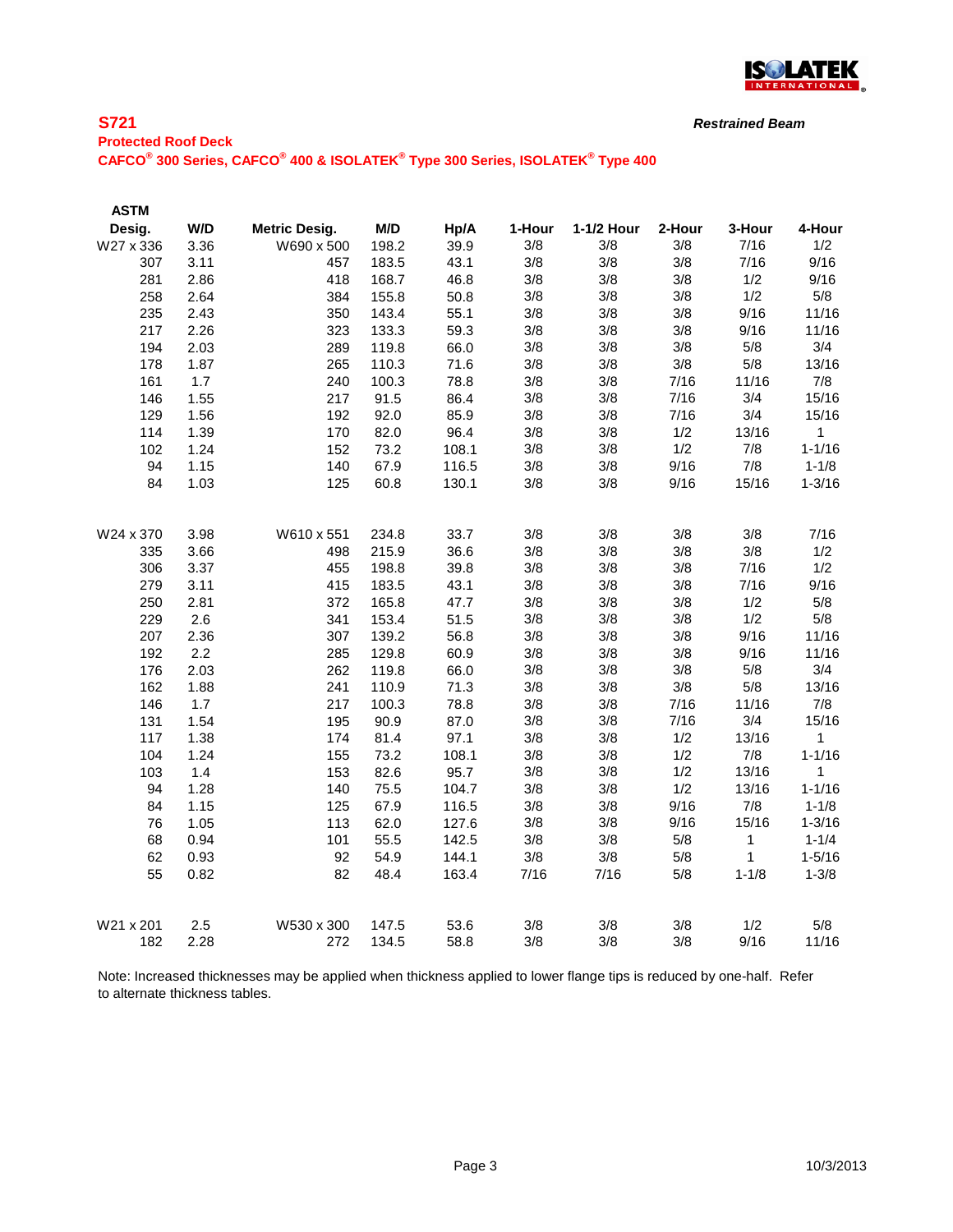

## **S721**

**Protected Roof Deck CAFCO® 300 Series, CAFCO® 400 & ISOLATEK® Type 300 Series, ISOLATEK® Type 400**

| W/D<br>Desig.<br>M/D<br>1-1/2 Hour<br><b>Metric Desig.</b><br>Hp/A<br>1-Hour<br>2-Hour |                        |  |
|----------------------------------------------------------------------------------------|------------------------|--|
|                                                                                        | 4-Hour<br>3-Hour       |  |
| 3.36<br>W690 x 500<br>198.2<br>39.9<br>3/8<br>3/8<br>3/8<br>W27 x 336                  | 7/16<br>1/2            |  |
| 3/8<br>3.11<br>43.1<br>3/8<br>3/8<br>307<br>457<br>183.5                               | 9/16<br>7/16           |  |
| 3/8<br>2.86<br>418<br>168.7<br>46.8<br>3/8<br>3/8<br>281                               | 1/2<br>9/16            |  |
| 3/8<br>258<br>2.64<br>384<br>155.8<br>50.8<br>3/8<br>3/8                               | 1/2<br>5/8             |  |
| 3/8<br>235<br>2.43<br>350<br>143.4<br>55.1<br>3/8<br>3/8                               | 9/16<br>11/16          |  |
| 2.26<br>59.3<br>3/8<br>217<br>323<br>133.3<br>3/8<br>3/8                               | 9/16<br>11/16          |  |
| 3/8<br>3/8<br>3/8<br>194<br>2.03<br>289<br>119.8<br>66.0                               | 3/4<br>5/8             |  |
| 3/8<br>1.87<br>71.6<br>3/8<br>3/8<br>178<br>265<br>110.3                               | 5/8<br>13/16           |  |
| 3/8<br>7/16<br>1.7<br>3/8<br>161<br>240<br>100.3<br>78.8                               | 7/8<br>11/16           |  |
| 3/8<br>3/8<br>7/16<br>146<br>1.55<br>217<br>91.5<br>86.4                               | 15/16<br>3/4           |  |
| 3/8<br>129<br>1.56<br>192<br>92.0<br>85.9<br>3/8<br>7/16                               | 3/4<br>15/16           |  |
| 82.0<br>96.4<br>3/8<br>114<br>1.39<br>170<br>3/8<br>1/2                                | 13/16<br>$\mathbf{1}$  |  |
| 102<br>1.24<br>73.2<br>108.1<br>3/8<br>3/8<br>1/2<br>152                               | $1 - 1/16$<br>7/8      |  |
| 67.9<br>3/8<br>94<br>1.15<br>116.5<br>3/8<br>9/16<br>140                               | 7/8<br>$1 - 1/8$       |  |
| 84<br>1.03<br>125<br>60.8<br>130.1<br>3/8<br>3/8<br>9/16                               | 15/16<br>$1 - 3/16$    |  |
|                                                                                        |                        |  |
| 3/8<br>3/8<br>3/8<br>3.98<br>W610 x 551<br>234.8<br>33.7<br>W24 x 370                  | 3/8<br>7/16            |  |
| 3/8<br>36.6<br>3/8<br>3/8<br>3.66<br>215.9<br>335<br>498                               | 3/8<br>1/2             |  |
| 3/8<br>3/8<br>3/8<br>306<br>3.37<br>198.8<br>39.8<br>455                               | 1/2<br>7/16            |  |
| 3/8<br>3.11<br>3/8<br>3/8<br>279<br>415<br>183.5<br>43.1                               | 9/16<br>7/16           |  |
| 3/8<br>250<br>2.81<br>372<br>165.8<br>47.7<br>3/8<br>3/8                               | 1/2<br>5/8             |  |
| 2.6<br>51.5<br>3/8<br>3/8<br>229<br>341<br>153.4<br>3/8                                | 1/2<br>5/8             |  |
| 56.8<br>3/8<br>3/8<br>207<br>2.36<br>307<br>139.2<br>3/8                               | 9/16<br>11/16          |  |
| 2.2<br>3/8<br>3/8<br>192<br>285<br>129.8<br>60.9<br>3/8                                | 9/16<br>11/16          |  |
| 3/8<br>176<br>2.03<br>262<br>119.8<br>66.0<br>3/8<br>3/8                               | 3/4<br>5/8             |  |
| 162<br>3/8<br>1.88<br>241<br>110.9<br>71.3<br>3/8<br>3/8                               | 5/8<br>13/16           |  |
| 3/8<br>146<br>1.7<br>217<br>78.8<br>3/8<br>7/16<br>100.3                               | 11/16<br>7/8           |  |
| 3/8<br>3/8<br>7/16<br>131<br>1.54<br>195<br>90.9<br>87.0                               | 3/4<br>15/16           |  |
| 3/8<br>3/8<br>1/2<br>117<br>1.38<br>81.4<br>97.1<br>174                                | 13/16<br>1             |  |
| 3/8<br>3/8<br>1/2<br>104<br>1.24<br>73.2<br>108.1<br>155                               | 7/8<br>$1 - 1/16$      |  |
| 3/8<br>1.4<br>3/8<br>1/2<br>103<br>82.6<br>95.7<br>153                                 | 13/16<br>1             |  |
| 3/8<br>1/2<br>94<br>1.28<br>75.5<br>104.7<br>3/8<br>140                                | 13/16<br>$1 - 1/16$    |  |
| 1.15<br>67.9<br>3/8<br>84<br>125<br>116.5<br>3/8<br>9/16                               | 7/8<br>$1 - 1/8$       |  |
| 1.05<br>113<br>62.0<br>127.6<br>3/8<br>3/8<br>9/16<br>76                               | $1 - 3/16$<br>15/16    |  |
| 68<br>0.94<br>101<br>55.5<br>142.5<br>3/8<br>3/8<br>5/8                                | 1<br>$1 - 1/4$         |  |
| 62<br>0.93<br>92<br>54.9<br>144.1<br>3/8<br>3/8<br>5/8                                 | 1<br>$1 - 5/16$        |  |
| 55<br>0.82<br>82<br>48.4<br>163.4<br>7/16<br>7/16<br>5/8                               | $1 - 3/8$<br>$1 - 1/8$ |  |
| 3/8<br>W21 x 201<br>3/8<br>3/8<br>2.5<br>W530 x 300<br>53.6<br>147.5                   | 1/2<br>5/8             |  |
| 3/8<br>3/8<br>182<br>272<br>58.8<br>3/8<br>2.28<br>134.5                               | 9/16<br>11/16          |  |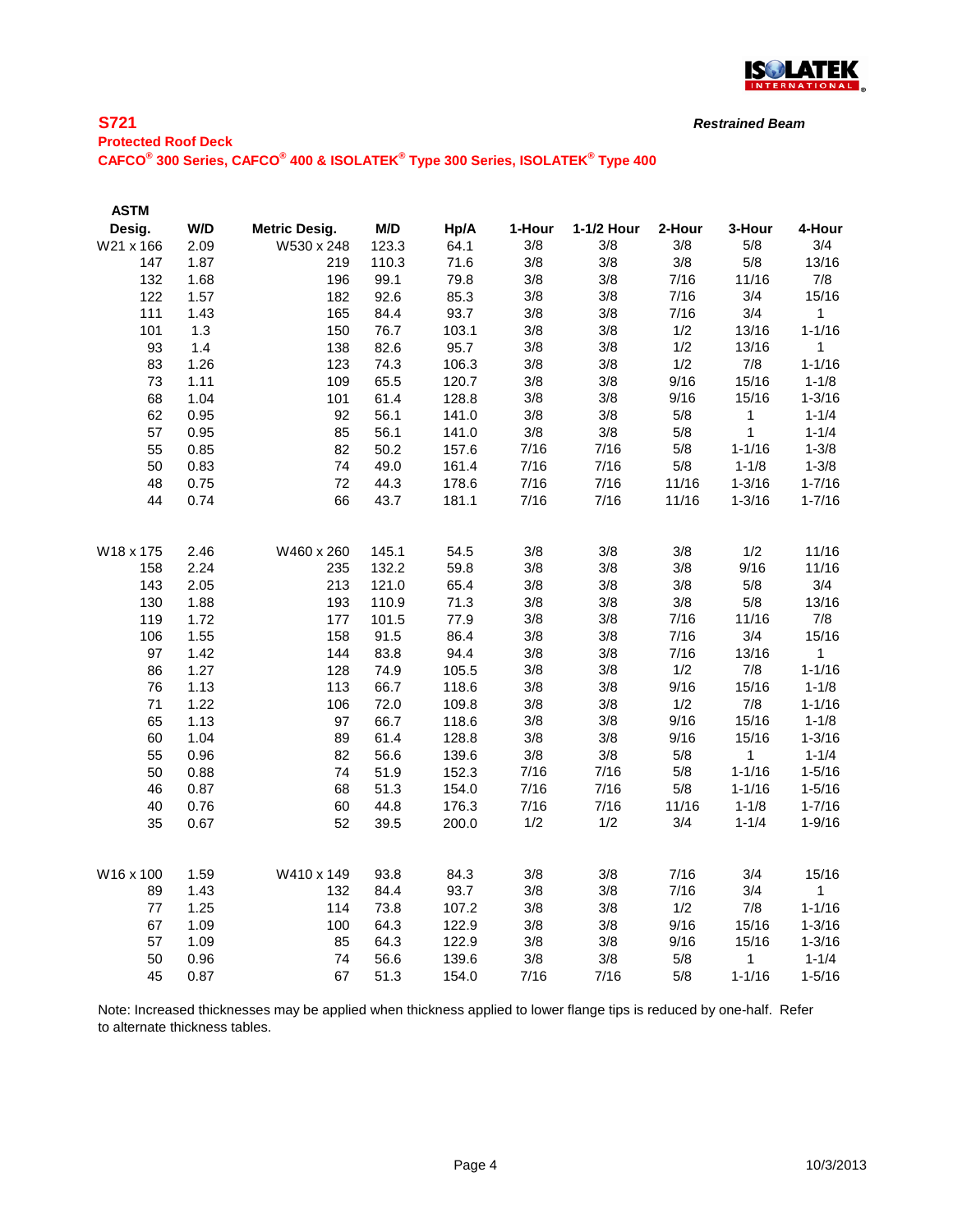

## **S721 Protected Roof Deck CAFCO® 300 Series, CAFCO® 400 & ISOLATEK® Type 300 Series, ISOLATEK® Type 400**

| <b>ASTM</b> |              |                      |              |              |            |            |             |              |                 |
|-------------|--------------|----------------------|--------------|--------------|------------|------------|-------------|--------------|-----------------|
| Desig.      | W/D          | <b>Metric Desig.</b> | M/D          | Hp/A         | 1-Hour     | 1-1/2 Hour | 2-Hour      | 3-Hour       | 4-Hour          |
| W21 x 166   | 2.09         | W530 x 248           | 123.3        | 64.1         | 3/8        | 3/8        | 3/8         | 5/8          | 3/4             |
| 147         | 1.87         | 219                  | 110.3        | 71.6         | 3/8        | 3/8        | 3/8         | 5/8          | 13/16           |
| 132         | 1.68         | 196                  | 99.1         | 79.8         | 3/8        | 3/8        | 7/16        | 11/16        | 7/8             |
| 122         | 1.57         | 182                  | 92.6         | 85.3         | 3/8        | 3/8        | 7/16        | 3/4          | 15/16           |
| 111         | 1.43         | 165                  | 84.4         | 93.7         | 3/8        | 3/8        | 7/16        | 3/4          | $\mathbf{1}$    |
| 101         | 1.3          | 150                  | 76.7         | 103.1        | 3/8        | 3/8        | 1/2         | 13/16        | $1 - 1/16$      |
| 93          | 1.4          | 138                  | 82.6         | 95.7         | 3/8        | 3/8        | 1/2         | 13/16        | $\mathbf{1}$    |
| 83          | 1.26         | 123                  | 74.3         | 106.3        | 3/8        | 3/8        | 1/2         | 7/8          | $1 - 1/16$      |
| 73          | 1.11         | 109                  | 65.5         | 120.7        | 3/8        | 3/8        | 9/16        | 15/16        | $1 - 1/8$       |
| 68          | 1.04         | 101                  | 61.4         | 128.8        | 3/8        | 3/8        | 9/16        | 15/16        | $1 - 3/16$      |
| 62          | 0.95         | 92                   | 56.1         | 141.0        | 3/8        | 3/8        | 5/8         | 1            | $1 - 1/4$       |
| 57          | 0.95         | 85                   | 56.1         | 141.0        | 3/8        | 3/8        | 5/8         | 1            | $1 - 1/4$       |
| 55          | 0.85         | 82                   | 50.2         | 157.6        | 7/16       | 7/16       | 5/8         | $1 - 1/16$   | $1 - 3/8$       |
| 50          | 0.83         | 74                   | 49.0         | 161.4        | 7/16       | 7/16       | 5/8         | $1 - 1/8$    | $1 - 3/8$       |
| 48          | 0.75         | 72                   | 44.3         | 178.6        | 7/16       | 7/16       | 11/16       | $1 - 3/16$   | $1 - 7/16$      |
| 44          | 0.74         | 66                   | 43.7         | 181.1        | 7/16       | 7/16       | 11/16       | $1 - 3/16$   | $1 - 7/16$      |
|             |              |                      |              |              |            |            |             |              |                 |
| W18 x 175   | 2.46         | W460 x 260           | 145.1        | 54.5         | 3/8        | 3/8        | 3/8         | 1/2          | 11/16           |
| 158         | 2.24         | 235                  | 132.2        | 59.8         | 3/8        | 3/8        | 3/8         | 9/16         | 11/16           |
| 143         | 2.05         | 213                  | 121.0        | 65.4         | 3/8        | 3/8        | 3/8         | 5/8          | 3/4             |
| 130         | 1.88         | 193                  | 110.9        | 71.3         | 3/8        | 3/8        | 3/8         | $5/8$        | 13/16           |
| 119         | 1.72         | 177                  | 101.5        | 77.9         | 3/8        | 3/8        | 7/16        | 11/16        | 7/8             |
| 106         | 1.55         | 158                  | 91.5         | 86.4<br>94.4 | 3/8        | 3/8        | 7/16        | 3/4          | 15/16           |
| 97<br>86    | 1.42<br>1.27 | 144                  | 83.8<br>74.9 | 105.5        | 3/8        | 3/8<br>3/8 | 7/16<br>1/2 | 13/16<br>7/8 | 1<br>$1 - 1/16$ |
| 76          | 1.13         | 128<br>113           | 66.7         | 118.6        | 3/8<br>3/8 | 3/8        | 9/16        | 15/16        | $1 - 1/8$       |
| 71          | 1.22         | 106                  | 72.0         | 109.8        | 3/8        | 3/8        | 1/2         | 7/8          | $1 - 1/16$      |
| 65          | 1.13         | 97                   | 66.7         | 118.6        | 3/8        | 3/8        | 9/16        | 15/16        | $1 - 1/8$       |
| 60          | 1.04         | 89                   | 61.4         | 128.8        | 3/8        | 3/8        | 9/16        | 15/16        | $1 - 3/16$      |
| 55          | 0.96         | 82                   | 56.6         | 139.6        | 3/8        | 3/8        | 5/8         | 1            | $1 - 1/4$       |
| 50          | 0.88         | 74                   | 51.9         | 152.3        | 7/16       | 7/16       | 5/8         | $1 - 1/16$   | $1 - 5/16$      |
| 46          | 0.87         | 68                   | 51.3         | 154.0        | 7/16       | 7/16       | 5/8         | $1 - 1/16$   | $1 - 5/16$      |
| 40          | 0.76         | 60                   | 44.8         | 176.3        | 7/16       | 7/16       | 11/16       | $1 - 1/8$    | $1 - 7/16$      |
| 35          | 0.67         | 52                   | 39.5         | 200.0        | 1/2        | 1/2        | 3/4         | $1 - 1/4$    | $1 - 9/16$      |
|             |              |                      |              |              |            |            |             |              |                 |
| W16 x 100   | 1.59         | W410 x 149           | 93.8         | 84.3         | 3/8        | 3/8        | 7/16        | 3/4          | 15/16           |
| 89          | 1.43         | 132                  | 84.4         | 93.7         | 3/8        | 3/8        | 7/16        | 3/4          | 1               |
| 77          | 1.25         | 114                  | 73.8         | 107.2        | 3/8        | 3/8        | 1/2         | 7/8          | $1 - 1/16$      |
| 67          | 1.09         | 100                  | 64.3         | 122.9        | 3/8        | 3/8        | 9/16        | 15/16        | $1 - 3/16$      |
| 57          | 1.09         | 85                   | 64.3         | 122.9        | 3/8        | 3/8        | 9/16        | 15/16        | $1 - 3/16$      |
| 50          | 0.96         | 74                   | 56.6         | 139.6        | 3/8        | 3/8        | 5/8         | 1            | $1 - 1/4$       |
| 45          | 0.87         | 67                   | 51.3         | 154.0        | 7/16       | 7/16       | 5/8         | $1 - 1/16$   | $1 - 5/16$      |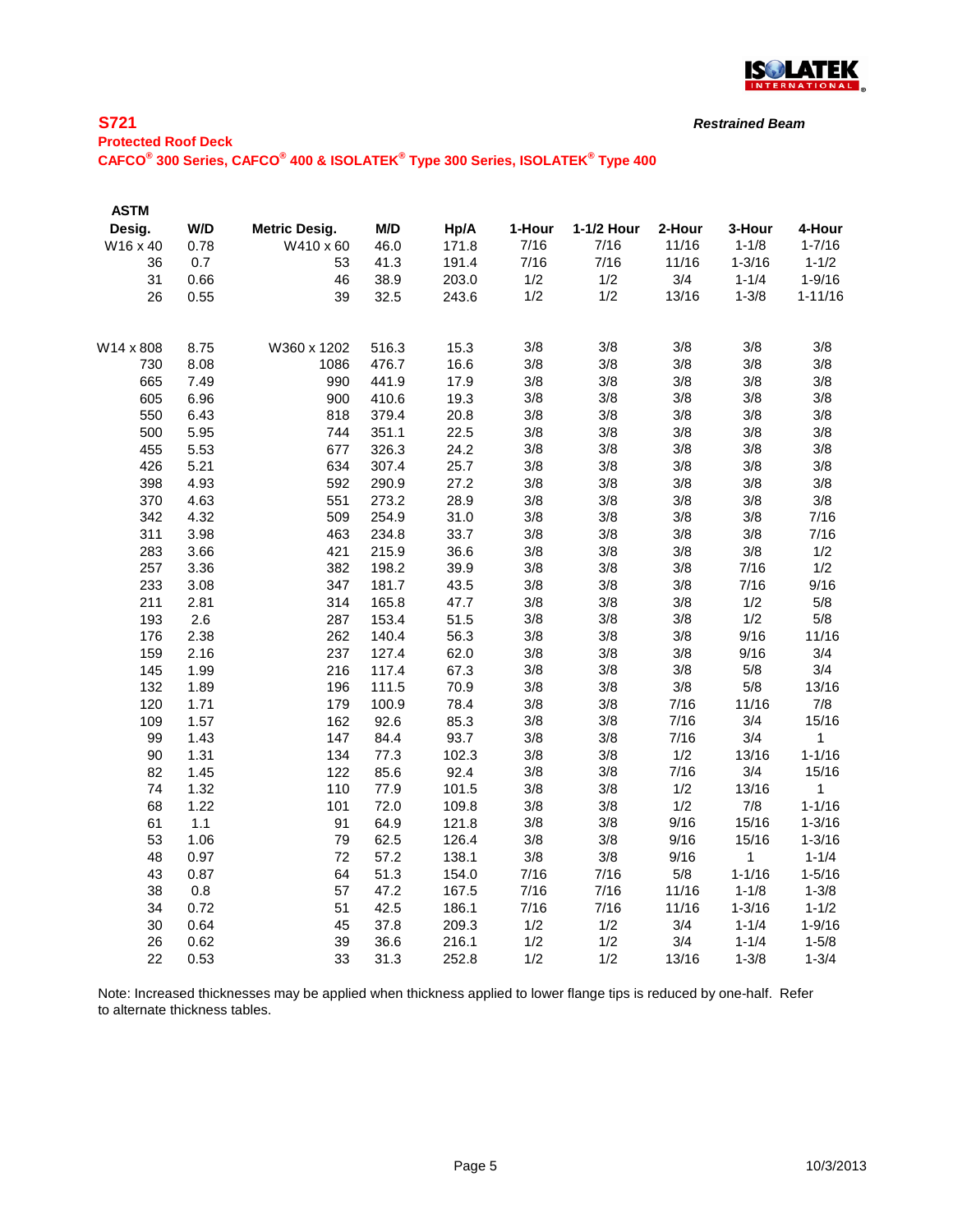

#### **S721**

*Restrained Beam*

# **Protected Roof Deck**

**CAFCO® 300 Series, CAFCO® 400 & ISOLATEK® Type 300 Series, ISOLATEK® Type 400**

| <b>ASTM</b> |      |                      |       |       |        |            |        |             |             |
|-------------|------|----------------------|-------|-------|--------|------------|--------|-------------|-------------|
| Desig.      | W/D  | <b>Metric Desig.</b> | M/D   | Hp/A  | 1-Hour | 1-1/2 Hour | 2-Hour | 3-Hour      | 4-Hour      |
| W16 x 40    | 0.78 | W410 x 60            | 46.0  | 171.8 | 7/16   | 7/16       | 11/16  | $1 - 1/8$   | $1 - 7/16$  |
| 36          | 0.7  | 53                   | 41.3  | 191.4 | 7/16   | 7/16       | 11/16  | $1 - 3/16$  | $1 - 1/2$   |
| 31          | 0.66 | 46                   | 38.9  | 203.0 | 1/2    | 1/2        | 3/4    | $1 - 1/4$   | $1 - 9/16$  |
| 26          | 0.55 | 39                   | 32.5  | 243.6 | 1/2    | 1/2        | 13/16  | $1 - 3/8$   | $1 - 11/16$ |
| W14 x 808   | 8.75 | W360 x 1202          | 516.3 | 15.3  | 3/8    | 3/8        | 3/8    | 3/8         | 3/8         |
| 730         | 8.08 | 1086                 | 476.7 | 16.6  | 3/8    | 3/8        | 3/8    | 3/8         | 3/8         |
| 665         | 7.49 | 990                  | 441.9 | 17.9  | 3/8    | 3/8        | 3/8    | 3/8         | 3/8         |
| 605         | 6.96 | 900                  | 410.6 | 19.3  | 3/8    | 3/8        | 3/8    | 3/8         | 3/8         |
| 550         | 6.43 | 818                  | 379.4 | 20.8  | 3/8    | 3/8        | 3/8    | 3/8         | 3/8         |
| 500         | 5.95 | 744                  | 351.1 | 22.5  | 3/8    | 3/8        | 3/8    | 3/8         | 3/8         |
| 455         | 5.53 | 677                  | 326.3 | 24.2  | 3/8    | 3/8        | 3/8    | 3/8         | 3/8         |
| 426         | 5.21 | 634                  | 307.4 | 25.7  | 3/8    | 3/8        | 3/8    | 3/8         | 3/8         |
| 398         | 4.93 | 592                  | 290.9 | 27.2  | 3/8    | 3/8        | 3/8    | 3/8         | 3/8         |
| 370         | 4.63 | 551                  | 273.2 | 28.9  | 3/8    | 3/8        | 3/8    | 3/8         | 3/8         |
| 342         | 4.32 | 509                  | 254.9 | 31.0  | 3/8    | 3/8        | 3/8    | 3/8         | 7/16        |
| 311         | 3.98 | 463                  | 234.8 | 33.7  | 3/8    | 3/8        | 3/8    | 3/8         | 7/16        |
| 283         | 3.66 | 421                  | 215.9 | 36.6  | 3/8    | 3/8        | 3/8    | 3/8         | 1/2         |
| 257         | 3.36 | 382                  | 198.2 | 39.9  | 3/8    | 3/8        | 3/8    | 7/16        | 1/2         |
| 233         | 3.08 | 347                  | 181.7 | 43.5  | 3/8    | 3/8        | 3/8    | 7/16        | 9/16        |
| 211         | 2.81 | 314                  | 165.8 | 47.7  | 3/8    | 3/8        | 3/8    | 1/2         | 5/8         |
| 193         | 2.6  | 287                  | 153.4 | 51.5  | 3/8    | 3/8        | 3/8    | 1/2         | 5/8         |
| 176         | 2.38 | 262                  | 140.4 | 56.3  | 3/8    | 3/8        | 3/8    | 9/16        | 11/16       |
| 159         | 2.16 | 237                  | 127.4 | 62.0  | 3/8    | 3/8        | 3/8    | 9/16        | 3/4         |
| 145         | 1.99 | 216                  | 117.4 | 67.3  | 3/8    | 3/8        | 3/8    | 5/8         | 3/4         |
| 132         | 1.89 | 196                  | 111.5 | 70.9  | 3/8    | 3/8        | 3/8    | 5/8         | 13/16       |
| 120         | 1.71 | 179                  | 100.9 | 78.4  | 3/8    | 3/8        | 7/16   | 11/16       | 7/8         |
| 109         | 1.57 | 162                  | 92.6  | 85.3  | 3/8    | 3/8        | 7/16   | 3/4         | 15/16       |
| 99          | 1.43 | 147                  | 84.4  | 93.7  | 3/8    | 3/8        | 7/16   | 3/4         | $\mathbf 1$ |
| 90          | 1.31 | 134                  | 77.3  | 102.3 | 3/8    | 3/8        | 1/2    | 13/16       | $1 - 1/16$  |
| 82          | 1.45 | 122                  | 85.6  | 92.4  | 3/8    | 3/8        | 7/16   | 3/4         | 15/16       |
| 74          | 1.32 | 110                  | 77.9  | 101.5 | 3/8    | 3/8        | 1/2    | 13/16       | 1           |
| 68          | 1.22 | 101                  | 72.0  | 109.8 | 3/8    | 3/8        | 1/2    | 7/8         | $1 - 1/16$  |
| 61          | 1.1  | 91                   | 64.9  | 121.8 | 3/8    | 3/8        | 9/16   | 15/16       | $1 - 3/16$  |
| 53          | 1.06 | 79                   | 62.5  | 126.4 | 3/8    | 3/8        | 9/16   | 15/16       | $1 - 3/16$  |
| 48          | 0.97 | 72                   | 57.2  | 138.1 | $3/8$  | 3/8        | 9/16   | $\mathbf 1$ | $1 - 1/4$   |
| 43          | 0.87 | 64                   | 51.3  | 154.0 | 7/16   | 7/16       | 5/8    | $1 - 1/16$  | $1 - 5/16$  |
| 38          | 0.8  | 57                   | 47.2  | 167.5 | 7/16   | 7/16       | 11/16  | $1 - 1/8$   | $1 - 3/8$   |
| 34          | 0.72 | 51                   | 42.5  | 186.1 | 7/16   | 7/16       | 11/16  | $1 - 3/16$  | $1 - 1/2$   |
| 30          | 0.64 | 45                   | 37.8  | 209.3 | 1/2    | 1/2        | 3/4    | $1 - 1/4$   | $1 - 9/16$  |
| 26          | 0.62 | 39                   | 36.6  | 216.1 | 1/2    | 1/2        | 3/4    | $1 - 1/4$   | $1 - 5/8$   |
| 22          | 0.53 | 33                   | 31.3  | 252.8 | 1/2    | 1/2        | 13/16  | $1 - 3/8$   | $1 - 3/4$   |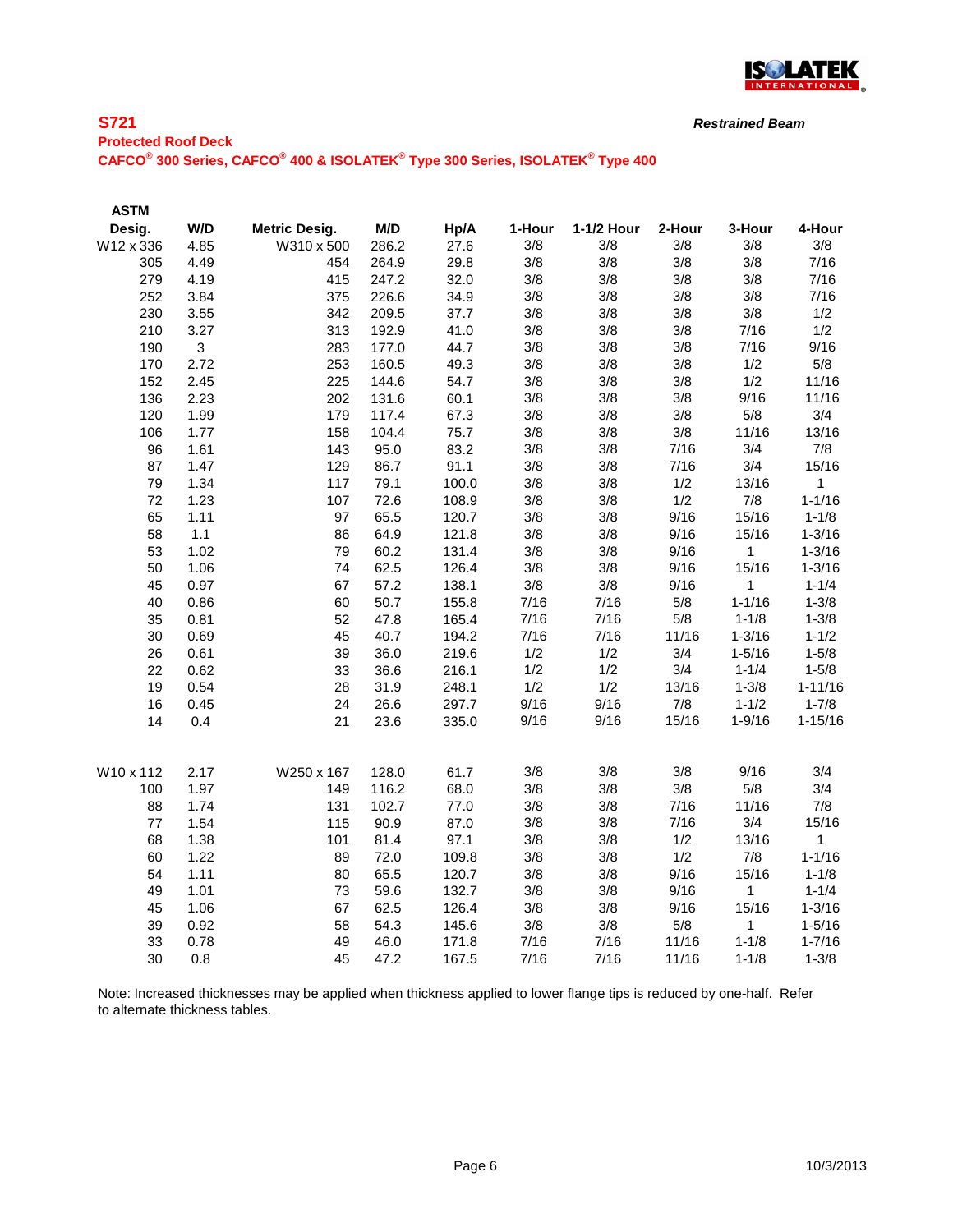

## **S721 Protected Roof Deck CAFCO® 300 Series, CAFCO® 400 & ISOLATEK® Type 300 Series, ISOLATEK® Type 400**

| <b>ASTM</b> |      |                      |       |       |        |            |        |            |              |
|-------------|------|----------------------|-------|-------|--------|------------|--------|------------|--------------|
| Desig.      | W/D  | <b>Metric Desig.</b> | M/D   | Hp/A  | 1-Hour | 1-1/2 Hour | 2-Hour | 3-Hour     | 4-Hour       |
| W12 x 336   | 4.85 | W310 x 500           | 286.2 | 27.6  | 3/8    | 3/8        | 3/8    | 3/8        | 3/8          |
| 305         | 4.49 | 454                  | 264.9 | 29.8  | 3/8    | 3/8        | 3/8    | 3/8        | 7/16         |
| 279         | 4.19 | 415                  | 247.2 | 32.0  | 3/8    | 3/8        | 3/8    | 3/8        | 7/16         |
| 252         | 3.84 | 375                  | 226.6 | 34.9  | 3/8    | 3/8        | 3/8    | 3/8        | 7/16         |
| 230         | 3.55 | 342                  | 209.5 | 37.7  | 3/8    | 3/8        | 3/8    | 3/8        | 1/2          |
| 210         | 3.27 | 313                  | 192.9 | 41.0  | 3/8    | 3/8        | 3/8    | 7/16       | 1/2          |
| 190         | 3    | 283                  | 177.0 | 44.7  | 3/8    | 3/8        | 3/8    | 7/16       | 9/16         |
| 170         | 2.72 | 253                  | 160.5 | 49.3  | 3/8    | 3/8        | 3/8    | 1/2        | 5/8          |
| 152         | 2.45 | 225                  | 144.6 | 54.7  | 3/8    | 3/8        | 3/8    | 1/2        | 11/16        |
| 136         | 2.23 | 202                  | 131.6 | 60.1  | 3/8    | 3/8        | 3/8    | 9/16       | 11/16        |
| 120         | 1.99 | 179                  | 117.4 | 67.3  | 3/8    | 3/8        | 3/8    | 5/8        | 3/4          |
| 106         | 1.77 | 158                  | 104.4 | 75.7  | 3/8    | 3/8        | 3/8    | 11/16      | 13/16        |
| 96          | 1.61 | 143                  | 95.0  | 83.2  | 3/8    | 3/8        | 7/16   | 3/4        | 7/8          |
| 87          | 1.47 | 129                  | 86.7  | 91.1  | 3/8    | 3/8        | 7/16   | 3/4        | 15/16        |
| 79          | 1.34 | 117                  | 79.1  | 100.0 | 3/8    | 3/8        | 1/2    | 13/16      | $\mathbf 1$  |
| 72          | 1.23 | 107                  | 72.6  | 108.9 | 3/8    | 3/8        | 1/2    | 7/8        | $1 - 1/16$   |
| 65          | 1.11 | 97                   | 65.5  | 120.7 | 3/8    | 3/8        | 9/16   | 15/16      | $1 - 1/8$    |
| 58          | 1.1  | 86                   | 64.9  | 121.8 | 3/8    | 3/8        | 9/16   | 15/16      | $1 - 3/16$   |
| 53          | 1.02 | 79                   | 60.2  | 131.4 | 3/8    | 3/8        | 9/16   | 1          | $1 - 3/16$   |
| 50          | 1.06 | 74                   | 62.5  | 126.4 | 3/8    | 3/8        | 9/16   | 15/16      | $1 - 3/16$   |
| 45          | 0.97 | 67                   | 57.2  | 138.1 | 3/8    | 3/8        | 9/16   | 1          | $1 - 1/4$    |
| 40          | 0.86 | 60                   | 50.7  | 155.8 | 7/16   | 7/16       | 5/8    | $1 - 1/16$ | $1 - 3/8$    |
| 35          | 0.81 | 52                   | 47.8  | 165.4 | 7/16   | 7/16       | 5/8    | $1 - 1/8$  | $1 - 3/8$    |
| 30          | 0.69 | 45                   | 40.7  | 194.2 | 7/16   | 7/16       | 11/16  | $1 - 3/16$ | $1 - 1/2$    |
| 26          | 0.61 | 39                   | 36.0  | 219.6 | 1/2    | 1/2        | 3/4    | $1 - 5/16$ | $1 - 5/8$    |
| 22          | 0.62 | 33                   | 36.6  | 216.1 | 1/2    | 1/2        | 3/4    | $1 - 1/4$  | $1 - 5/8$    |
| 19          | 0.54 | 28                   | 31.9  | 248.1 | 1/2    | 1/2        | 13/16  | $1 - 3/8$  | $1 - 11/16$  |
| 16          | 0.45 | 24                   | 26.6  | 297.7 | 9/16   | 9/16       | 7/8    | $1 - 1/2$  | $1 - 7/8$    |
| 14          | 0.4  | 21                   | 23.6  | 335.0 | 9/16   | 9/16       | 15/16  | $1 - 9/16$ | $1 - 15/16$  |
| W10 x 112   | 2.17 | W250 x 167           | 128.0 | 61.7  | 3/8    | 3/8        | 3/8    | 9/16       | 3/4          |
| 100         | 1.97 | 149                  | 116.2 | 68.0  | 3/8    | 3/8        | 3/8    | 5/8        | 3/4          |
| 88          | 1.74 | 131                  | 102.7 | 77.0  | 3/8    | 3/8        | 7/16   | 11/16      | 7/8          |
| 77          | 1.54 | 115                  | 90.9  | 87.0  | 3/8    | 3/8        | 7/16   | 3/4        | 15/16        |
| 68          | 1.38 | 101                  | 81.4  | 97.1  | 3/8    | 3/8        | 1/2    | 13/16      | $\mathbf{1}$ |
| 60          | 1.22 | 89                   | 72.0  | 109.8 | 3/8    | 3/8        | 1/2    | 7/8        | $1 - 1/16$   |
| 54          | 1.11 | 80                   | 65.5  | 120.7 | 3/8    | 3/8        | 9/16   | 15/16      | $1 - 1/8$    |
| 49          | 1.01 | 73                   | 59.6  | 132.7 | 3/8    | 3/8        | 9/16   | 1          | $1 - 1/4$    |
| 45          | 1.06 | 67                   | 62.5  | 126.4 | 3/8    | 3/8        | 9/16   | 15/16      | $1 - 3/16$   |
| 39          | 0.92 | 58                   | 54.3  | 145.6 | 3/8    | 3/8        | 5/8    | 1          | $1 - 5/16$   |
| 33          | 0.78 | 49                   | 46.0  | 171.8 | 7/16   | 7/16       | 11/16  | $1 - 1/8$  | $1 - 7/16$   |
| 30          | 0.8  | 45                   | 47.2  | 167.5 | 7/16   | 7/16       | 11/16  | $1 - 1/8$  | $1 - 3/8$    |